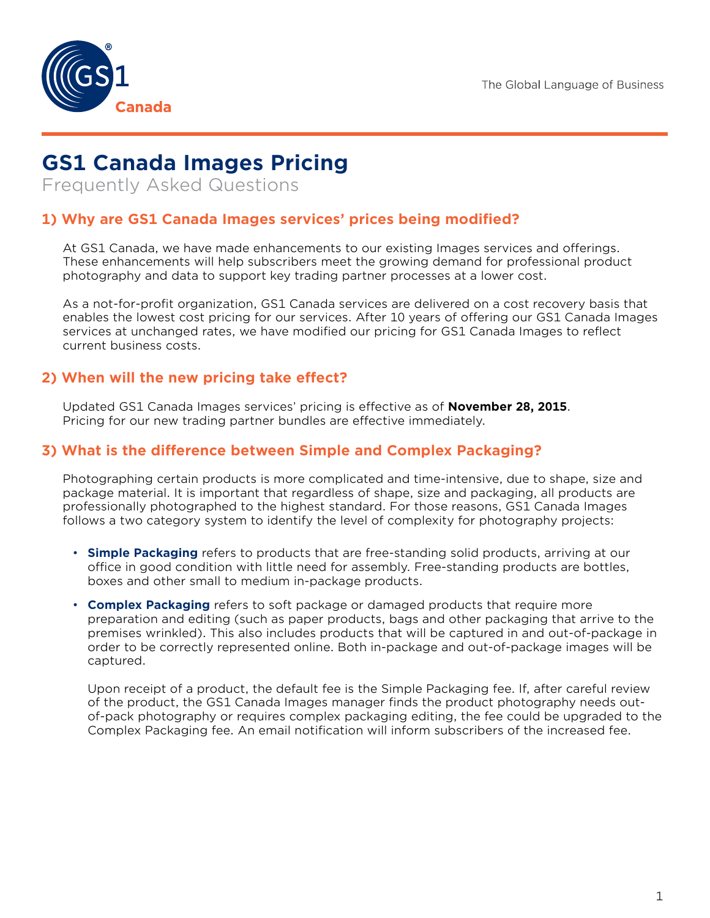

# **GS1 Canada Images Pricing**

Frequently Asked Questions

## **1) Why are GS1 Canada Images services' prices being modified?**

At GS1 Canada, we have made enhancements to our existing Images services and offerings. These enhancements will help subscribers meet the growing demand for professional product photography and data to support key trading partner processes at a lower cost.

As a not-for-profit organization, GS1 Canada services are delivered on a cost recovery basis that enables the lowest cost pricing for our services. After 10 years of offering our GS1 Canada Images services at unchanged rates, we have modified our pricing for GS1 Canada Images to reflect current business costs.

### **2) When will the new pricing take effect?**

Updated GS1 Canada Images services' pricing is effective as of **November 28, 2015**. Pricing for our new trading partner bundles are effective immediately.

#### **3) What is the difference between Simple and Complex Packaging?**

Photographing certain products is more complicated and time-intensive, due to shape, size and package material. It is important that regardless of shape, size and packaging, all products are professionally photographed to the highest standard. For those reasons, GS1 Canada Images follows a two category system to identify the level of complexity for photography projects:

- **Simple Packaging** refers to products that are free-standing solid products, arriving at our office in good condition with little need for assembly. Free-standing products are bottles, boxes and other small to medium in-package products.
- **Complex Packaging** refers to soft package or damaged products that require more preparation and editing (such as paper products, bags and other packaging that arrive to the premises wrinkled). This also includes products that will be captured in and out-of-package in order to be correctly represented online. Both in-package and out-of-package images will be captured.

Upon receipt of a product, the default fee is the Simple Packaging fee. If, after careful review of the product, the GS1 Canada Images manager finds the product photography needs outof-pack photography or requires complex packaging editing, the fee could be upgraded to the Complex Packaging fee. An email notification will inform subscribers of the increased fee.